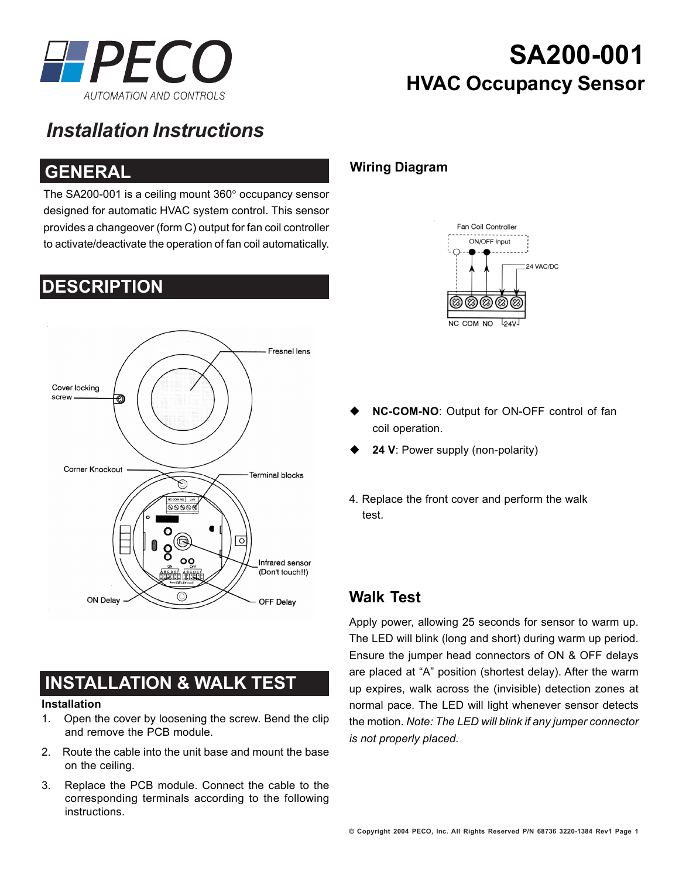

# **SA200-001 HVAC Occupancy Sensor**

## *Installation Instructions*

### **GENERAL**

**DESCRIPTION**

The SA200-001 is a ceiling mount 360° occupancy sensor designed for automatic HVAC system control. This sensor provides a changeover (form C) output for fan coil controller to activate/deactivate the operation of fan coil automatically.

## **Fresnel lens** Cover locking screw Corner Knockout **Terminal blocks**  $0000$  $\overline{\circ}$  $\circ$ Infrared sensor **OCCH** (Don't touch!!) **ON Delay** OFF Delay

## **INSTALLATION & WALK TEST**

#### **Installation**

- 1. Open the cover by loosening the screw. Bend the clip and remove the PCB module.
- 2. Route the cable into the unit base and mount the base on the ceiling.
- 3. Replace the PCB module. Connect the cable to the corresponding terminals according to the following instructions.

### **Wiring Diagram**



- **NC-COM-NO**: Output for ON-OFF control of fan coil operation.
- **24 V**: Power supply (non-polarity)
- 4. Replace the front cover and perform the walk test.

### **Walk Test**

Apply power, allowing 25 seconds for sensor to warm up. The LED will blink (long and short) during warm up period. Ensure the jumper head connectors of ON & OFF delays are placed at "A" position (shortest delay). After the warm up expires, walk across the (invisible) detection zones at normal pace. The LED will light whenever sensor detects the motion. *Note: The LED will blink if any jumper connector is not properly placed.*